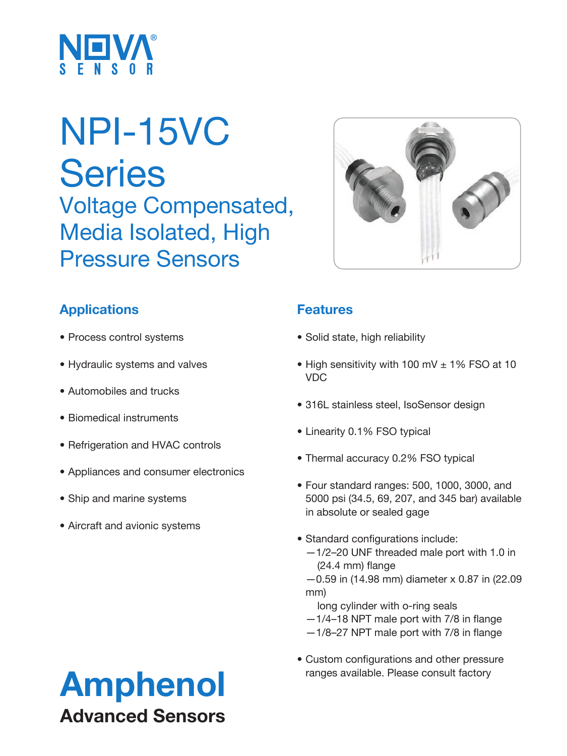

# NPI-15VC **Series** Voltage Compensated, Media Isolated, High Pressure Sensors



- Process control systems
- Hydraulic systems and valves
- Automobiles and trucks
- Biomedical instruments
- Refrigeration and HVAC controls
- Appliances and consumer electronics
- Ship and marine systems
- Aircraft and avionic systems

### **Features**

- Solid state, high reliability
- High sensitivity with 100 mV ± 1% FSO at 10 VDC
- 316L stainless steel, IsoSensor design
- Linearity 0.1% FSO typical
- Thermal accuracy 0.2% FSO typical
- Four standard ranges: 500, 1000, 3000, and 5000 psi (34.5, 69, 207, and 345 bar) available in absolute or sealed gage
- Standard configurations include:
	- —1/2–20 UNF threaded male port with 1.0 in (24.4 mm) flange
	- —0.59 in (14.98 mm) diameter x 0.87 in (22.09 mm)
		- long cylinder with o-ring seals
	- —1/4–18 NPT male port with 7/8 in flange
	- —1/8–27 NPT male port with 7/8 in flange
- Custom configurations and other pressure

# Amphenol ranges available. Please consult factory Advanced Sensors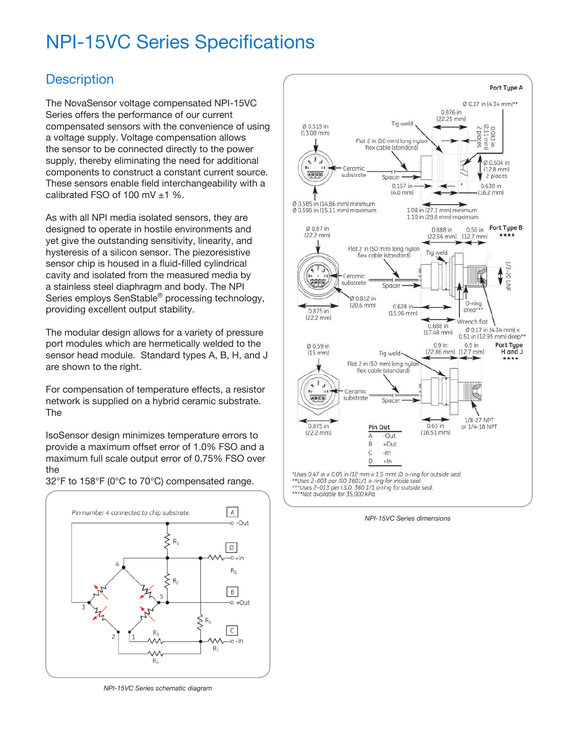## NPI-15VC Series Specifications

#### **Description**

The NovaSensor voltage compensated NPI-15VC Series offers the performance of our current compensated sensors with the convenience of using a voltage supply. Voltage compensation allows the sensor to be connected directly to the power supply, thereby eliminating the need for additional components to construct a constant current source. These sensors enable field interchangeability with a calibrated FSO of 100 mV ±1 %.

As with all NPI media isolated sensors, they are designed to operate in hostile environments and yet give the outstanding sensitivity, linearity, and hysteresis of a silicon sensor. The piezoresistive sensor chip is housed in a fluid-filled cylindrical cavity and isolated from the measured media by a stainless steel diaphragm and body. The NPI Series employs SenStable® processing technology, providing excellent output stability.

The modular design allows for a variety of pressure port modules which are hermetically welded to the sensor head module. Standard types A, B, H, and J are shown to the right.

For compensation of temperature effects, a resistor network is supplied on a hybrid ceramic substrate. The

IsoSensor design minimizes temperature errors to provide a maximum offset error of 1.0% FSO and a maximum full scale output error of 0.75% FSO over the



32°F to 158°F (0°C to 70°C) compensated range.

*NPI-15VC Series schematic diagram*



*NPI-15VC Series dimensions*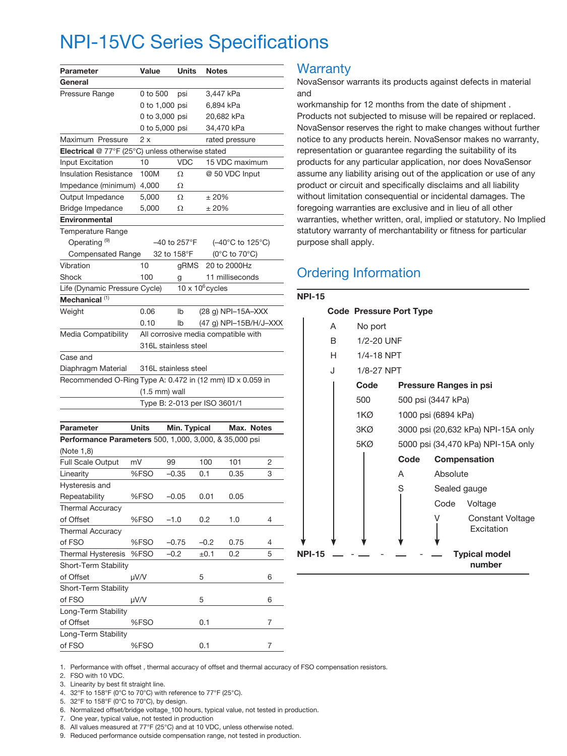### NPI-15VC Series Specifications

| Parameter                                                 | Value                   | Units                   | <b>Notes</b>                          |   |
|-----------------------------------------------------------|-------------------------|-------------------------|---------------------------------------|---|
| General                                                   |                         |                         |                                       |   |
| Pressure Range                                            | 0 to 500                | psi                     | 3,447 kPa                             |   |
|                                                           |                         |                         |                                       |   |
|                                                           | 0 to 1,000 psi          |                         | 6,894 kPa                             |   |
|                                                           | 0 to 3,000 psi          |                         | 20,682 kPa                            |   |
|                                                           | 0 to 5,000 psi          |                         | 34,470 kPa                            |   |
| Maximum Pressure                                          | 2 x                     |                         | rated pressure                        |   |
| Electrical @ 77°F (25°C) unless otherwise stated          |                         |                         |                                       |   |
| Input Excitation                                          | 10                      | <b>VDC</b>              | 15 VDC maximum                        |   |
| <b>Insulation Resistance</b>                              | 100M                    | Ω                       | @ 50 VDC Input                        |   |
| Impedance (minimum)                                       | 4,000                   | Ω                       |                                       |   |
| Output Impedance                                          | 5,000                   | Ω                       | ± 20%                                 |   |
| Bridge Impedance                                          | 5,000                   | Ω                       | ± 20%                                 |   |
| <b>Environmental</b>                                      |                         |                         |                                       |   |
| <b>Temperature Range</b>                                  |                         |                         |                                       |   |
| Operating <sup>(9)</sup>                                  | -40 to 257°F            |                         | $(-40^{\circ}$ C to 125 $^{\circ}$ C) |   |
| <b>Compensated Range</b>                                  | 32 to 158°F             |                         | (0°C to 70°C)                         |   |
| Vibration                                                 | 10                      | gRMS                    | 20 to 2000Hz                          |   |
| Shock                                                     | 100                     | g                       | 11 milliseconds                       |   |
| Life (Dynamic Pressure Cycle)                             |                         | $10 \times 10^6$ cycles |                                       |   |
| Mechanical <sup>(1)</sup>                                 |                         |                         |                                       |   |
| Weight                                                    | 0.06                    | lb                      | (28 g) NPI-15A-XXX                    |   |
|                                                           | 0.10                    | lb                      | (47 g) NPI-15B/H/J-XXX                |   |
| Media Compatibility                                       |                         |                         | All corrosive media compatible with   |   |
|                                                           | 316L stainless steel    |                         |                                       |   |
| Case and                                                  |                         |                         |                                       |   |
| Diaphragm Material                                        | 316L stainless steel    |                         |                                       |   |
| Recommended O-Ring Type A: 0.472 in (12 mm) ID x 0.059 in |                         |                         |                                       |   |
|                                                           | $(1.5 \text{ mm})$ wall |                         |                                       |   |
|                                                           |                         |                         | Type B: 2-013 per ISO 3601/1          |   |
|                                                           |                         |                         |                                       |   |
| Parameter                                                 | Units                   | Min. Typical            | Max. Notes                            |   |
|                                                           |                         |                         |                                       |   |
| Performance Parameters 500, 1,000, 3,000, & 35,000 psi    |                         |                         |                                       |   |
| (Note 1,8)                                                |                         |                         |                                       |   |
| Full Scale Output                                         | mV<br>99                |                         | 101<br>100                            | 2 |
| Linearity                                                 | %FSO                    | $-0.35$                 | 0.35<br>0.1                           | 3 |
| Hysteresis and                                            |                         |                         |                                       |   |
| Repeatability                                             | %FSO                    | $-0.05$                 | 0.01<br>0.05                          |   |
| <b>Thermal Accuracy</b>                                   |                         |                         |                                       |   |
| of Offset                                                 | %FSO<br>$-1.0$          |                         | 0.2<br>1.0                            | 4 |
| <b>Thermal Accuracy</b>                                   |                         |                         |                                       |   |
| of FSO                                                    | %FSO                    | $-0.75$                 | 0.75<br>-0.2                          | 4 |
| <b>Thermal Hysteresis</b>                                 | %FSO<br>$-0.2$          |                         | ±0.1<br>0.2                           | 5 |
| Short-Term Stability                                      |                         |                         |                                       |   |
| of Offset                                                 | µV/V                    | 5                       |                                       | 6 |
| Short-Term Stability                                      |                         |                         |                                       |   |
| of FSO                                                    | µV/V                    | 5                       |                                       | 6 |
| Long-Term Stability                                       |                         |                         |                                       |   |
| of Offset                                                 | %FSO                    |                         | 0.1                                   | 7 |
| Long-Term Stability                                       |                         |                         |                                       |   |
| of FSO                                                    | %FSO                    |                         | 0.1                                   | 7 |

#### **Warranty**

NovaSensor warrants its products against defects in material and

workmanship for 12 months from the date of shipment . Products not subjected to misuse will be repaired or replaced. NovaSensor reserves the right to make changes without further notice to any products herein. NovaSensor makes no warranty, representation or guarantee regarding the suitability of its products for any particular application, nor does NovaSensor assume any liability arising out of the application or use of any product or circuit and specifically disclaims and all liability without limitation consequential or incidental damages. The foregoing warranties are exclusive and in lieu of all other warranties, whether written, oral, implied or statutory. No Implied statutory warranty of merchantability or fitness for particular purpose shall apply.

### Ordering Information

| <b>NPI-15</b> |            |                                    |                                     |  |  |  |
|---------------|------------|------------------------------------|-------------------------------------|--|--|--|
|               |            | <b>Code Pressure Port Type</b>     |                                     |  |  |  |
| A             | No port    |                                    |                                     |  |  |  |
| R             | 1/2-20 UNF |                                    |                                     |  |  |  |
| H             | 1/4-18 NPT |                                    |                                     |  |  |  |
| J.            | 1/8-27 NPT |                                    |                                     |  |  |  |
|               | Code       |                                    | <b>Pressure Ranges in psi</b>       |  |  |  |
|               | 500        |                                    | 500 psi (3447 kPa)                  |  |  |  |
|               | 1KØ.       |                                    | 1000 psi (6894 kPa)                 |  |  |  |
|               | 3KØ.       | 3000 psi (20,632 kPa) NPI-15A only |                                     |  |  |  |
|               | 5KØ .      | 5000 psi (34,470 kPa) NPI-15A only |                                     |  |  |  |
|               |            | Code                               | Compensation                        |  |  |  |
|               |            | A                                  | Absolute                            |  |  |  |
|               |            | S                                  | Sealed gauge                        |  |  |  |
|               |            |                                    | Code<br>Voltage                     |  |  |  |
|               |            |                                    | V<br>Constant Voltage<br>Excitation |  |  |  |
| <b>NPI-15</b> |            |                                    | <b>Typical model</b><br>number      |  |  |  |

1. Performance with offset , thermal accuracy of offset and thermal accuracy of FSO compensation resistors.

2. FSO with 10 VDC.

- 3. Linearity by best fit straight line.
- 4. 32°F to 158°F (0°C to 70°C) with reference to 77°F (25°C).

5. 32°F to 158°F (0°C to 70°C), by design.

6. Normalized offset/bridge voltage\_100 hours, typical value, not tested in production.

7. One year, typical value, not tested in production

8. All values measured at 77°F (25°C) and at 10 VDC, unless otherwise noted.

9. Reduced performance outside compensation range, not tested in production.